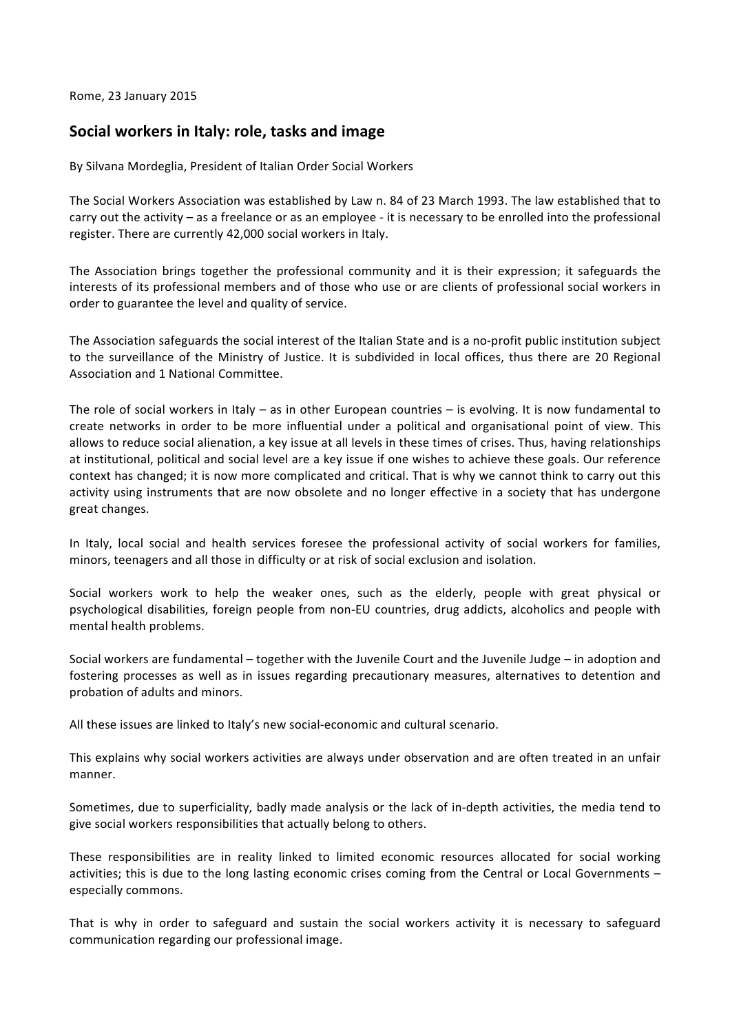Rome, 23 January 2015

## Social workers in Italy: role, tasks and image

By Silvana Mordeglia, President of Italian Order Social Workers

The Social Workers Association was established by Law n. 84 of 23 March 1993. The law established that to carry out the activity – as a freelance or as an employee - it is necessary to be enrolled into the professional register. There are currently 42,000 social workers in Italy.

The Association brings together the professional community and it is their expression; it safeguards the interests of its professional members and of those who use or are clients of professional social workers in order to guarantee the level and quality of service.

The Association safeguards the social interest of the Italian State and is a no-profit public institution subject to the surveillance of the Ministry of Justice. It is subdivided in local offices, thus there are 20 Regional Association and 1 National Committee.

The role of social workers in Italy – as in other European countries – is evolving. It is now fundamental to create networks in order to be more influential under a political and organisational point of view. This allows to reduce social alienation, a key issue at all levels in these times of crises. Thus, having relationships at institutional, political and social level are a key issue if one wishes to achieve these goals. Our reference context has changed; it is now more complicated and critical. That is why we cannot think to carry out this activity using instruments that are now obsolete and no longer effective in a society that has undergone great changes.

In Italy, local social and health services foresee the professional activity of social workers for families, minors, teenagers and all those in difficulty or at risk of social exclusion and isolation.

Social workers work to help the weaker ones, such as the elderly, people with great physical or psychological disabilities, foreign people from non-EU countries, drug addicts, alcoholics and people with mental health problems.

Social workers are fundamental – together with the Juvenile Court and the Juvenile Judge – in adoption and fostering processes as well as in issues regarding precautionary measures, alternatives to detention and probation of adults and minors.

All these issues are linked to Italy's new social-economic and cultural scenario.

This explains why social workers activities are always under observation and are often treated in an unfair manner.

Sometimes, due to superficiality, badly made analysis or the lack of in-depth activities, the media tend to give social workers responsibilities that actually belong to others.

These responsibilities are in reality linked to limited economic resources allocated for social working activities; this is due to the long lasting economic crises coming from the Central or Local Governments – especially commons.

That is why in order to safeguard and sustain the social workers activity it is necessary to safeguard communication regarding our professional image.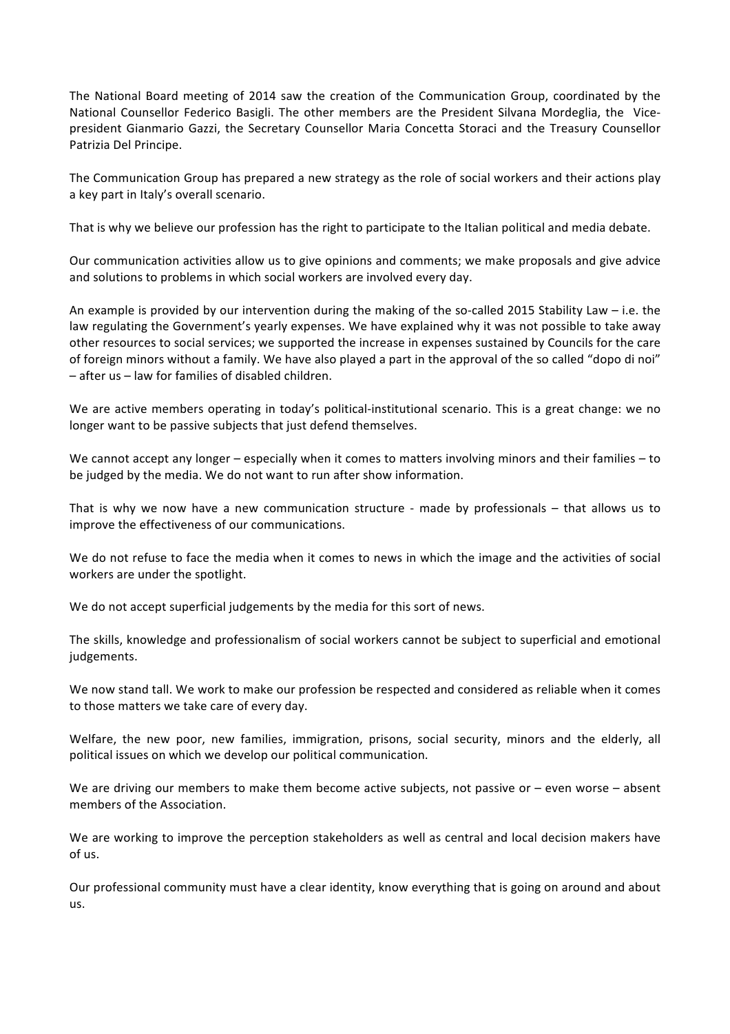The National Board meeting of 2014 saw the creation of the Communication Group, coordinated by the National Counsellor Federico Basigli. The other members are the President Silvana Mordeglia, the Vicepresident Gianmario Gazzi, the Secretary Counsellor Maria Concetta Storaci and the Treasury Counsellor Patrizia Del Principe.

The Communication Group has prepared a new strategy as the role of social workers and their actions play a key part in Italy's overall scenario.

That is why we believe our profession has the right to participate to the Italian political and media debate.

Our communication activities allow us to give opinions and comments; we make proposals and give advice and solutions to problems in which social workers are involved every day.

An example is provided by our intervention during the making of the so-called 2015 Stability Law – i.e. the law regulating the Government's yearly expenses. We have explained why it was not possible to take away other resources to social services; we supported the increase in expenses sustained by Councils for the care of foreign minors without a family. We have also played a part in the approval of the so called "dopo di noi"  $-$  after us – law for families of disabled children.

We are active members operating in today's political-institutional scenario. This is a great change: we no longer want to be passive subjects that just defend themselves.

We cannot accept any longer  $-$  especially when it comes to matters involving minors and their families  $-$  to be judged by the media. We do not want to run after show information.

That is why we now have a new communication structure - made by professionals – that allows us to improve the effectiveness of our communications.

We do not refuse to face the media when it comes to news in which the image and the activities of social workers are under the spotlight.

We do not accept superficial judgements by the media for this sort of news.

The skills, knowledge and professionalism of social workers cannot be subject to superficial and emotional judgements.

We now stand tall. We work to make our profession be respected and considered as reliable when it comes to those matters we take care of every day.

Welfare, the new poor, new families, immigration, prisons, social security, minors and the elderly, all political issues on which we develop our political communication.

We are driving our members to make them become active subjects, not passive or – even worse – absent members of the Association.

We are working to improve the perception stakeholders as well as central and local decision makers have of us.

Our professional community must have a clear identity, know everything that is going on around and about  $\overline{u}$ s.